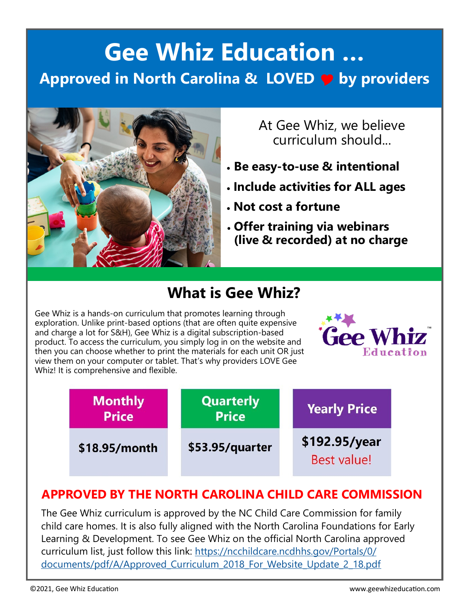## **Gee Whiz Education … Approved in North Carolina & LOVED by providers**



At Gee Whiz, we believe curriculum should...

- **Be easy-to-use & intentional**
- **Include activities for ALL ages**
- **Not cost a fortune**
- **Offer training via webinars (live & recorded) at no charge**

### **What is Gee Whiz?**

Gee Whiz is a hands-on curriculum that promotes learning through exploration. Unlike print-based options (that are often quite expensive and charge a lot for S&H), Gee Whiz is a digital subscription-based product. To access the curriculum, you simply log in on the website and then you can choose whether to print the materials for each unit OR just view them on your computer or tablet. That's why providers LOVE Gee Whiz! It is comprehensive and flexible.





#### **APPROVED BY THE NORTH CAROLINA CHILD CARE COMMISSION**

The Gee Whiz curriculum is approved by the NC Child Care Commission for family child care homes. It is also fully aligned with the North Carolina Foundations for Early Learning & Development. To see Gee Whiz on the official North Carolina approved curriculum list, just follow this link: [https://ncchildcare.ncdhhs.gov/Portals/0/](https://ncchildcare.ncdhhs.gov/Portals/0/documents/pdf/A/Approved_Curriculum_2018_For_Website_Update_2_18.pdf) [documents/pdf/A/Approved\\_Curriculum\\_2018\\_For\\_Website\\_Update\\_2\\_18.pdf](https://ncchildcare.ncdhhs.gov/Portals/0/documents/pdf/A/Approved_Curriculum_2018_For_Website_Update_2_18.pdf)